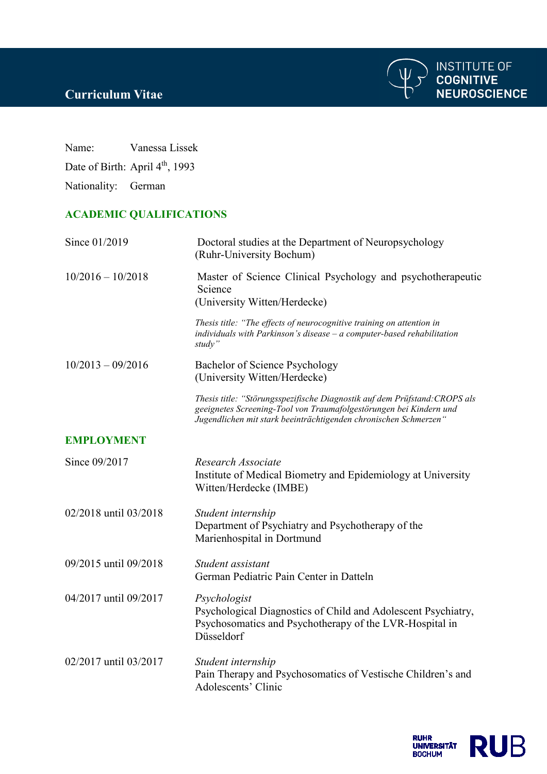

**INSTITUTE OF<br>COGNITIVE<br>NEUROSCIENCE** 

Name: Vanessa Lissek

Date of Birth: April 4<sup>th</sup>, 1993

Nationality: German

## **ACADEMIC QUALIFICATIONS**

| Since 01/2019         | Doctoral studies at the Department of Neuropsychology<br>(Ruhr-University Bochum)                                                                                                                                    |
|-----------------------|----------------------------------------------------------------------------------------------------------------------------------------------------------------------------------------------------------------------|
| $10/2016 - 10/2018$   | Master of Science Clinical Psychology and psychotherapeutic<br>Science<br>(University Witten/Herdecke)                                                                                                               |
|                       | Thesis title: "The effects of neurocognitive training on attention in<br>$individuals$ with Parkinson's disease $-a$ computer-based rehabilitation<br>study"                                                         |
| $10/2013 - 09/2016$   | Bachelor of Science Psychology<br>(University Witten/Herdecke)                                                                                                                                                       |
|                       | Thesis title: "Störungsspezifische Diagnostik auf dem Prüfstand: CROPS als<br>geeignetes Screening-Tool von Traumafolgestörungen bei Kindern und<br>Jugendlichen mit stark beeinträchtigenden chronischen Schmerzen" |
| <b>EMPLOYMENT</b>     |                                                                                                                                                                                                                      |
| Since 09/2017         | Research Associate<br>Institute of Medical Biometry and Epidemiology at University<br>Witten/Herdecke (IMBE)                                                                                                         |
| 02/2018 until 03/2018 | Student internship<br>Department of Psychiatry and Psychotherapy of the<br>Marienhospital in Dortmund                                                                                                                |
| 09/2015 until 09/2018 | Student assistant<br>German Pediatric Pain Center in Datteln                                                                                                                                                         |
| 04/2017 until 09/2017 | Psychologist<br>Psychological Diagnostics of Child and Adolescent Psychiatry,<br>Psychosomatics and Psychotherapy of the LVR-Hospital in<br>Düsseldorf                                                               |
| 02/2017 until 03/2017 | Student internship<br>Pain Therapy and Psychosomatics of Vestische Children's and<br>Adolescents' Clinic                                                                                                             |